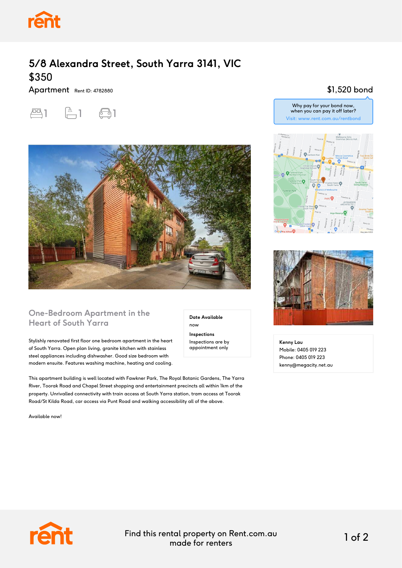

## **5/8 Alexandra Street, South Yarra 3141, VIC** \$350

Apartment Rent ID: 4782880





#### **One-Bedroom Apartment in the Heart of South Yarra**

Stylishly renovated first floor one bedroom apartment in the heart of South Yarra. Open plan living, granite kitchen with stainless steel appliances including dishwasher. Good size bedroom with modern ensuite. Features washing machine, heating and cooling.

This apartment building is well located with Fawkner Park, The Royal Botanic Gardens, The Yarra River, Toorak Road and Chapel Street shopping and entertainment precincts all within 1km of the property. Unrivalled connectivity with train access at South Yarra station, tram access at Toorak Road/St Kilda Road, car access via Punt Road and walking accessibility all of the above.

Available now!

**Date Available** now **Inspections** Inspections are by appointment only

### \$1,520 bond







**Kenny Lau** Mobile: 0405 019 223 Phone: 0405 019 223 kenny@megacity.net.au